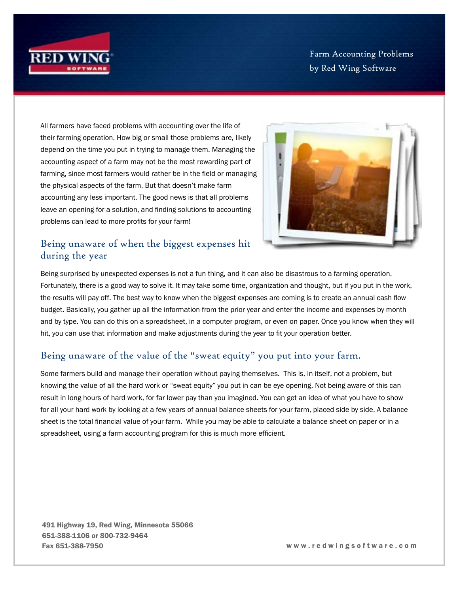

Farm Accounting Problems by Red Wing Software

All farmers have faced problems with accounting over the life of their farming operation. How big or small those problems are, likely depend on the time you put in trying to manage them. Managing the accounting aspect of a farm may not be the most rewarding part of farming, since most farmers would rather be in the field or managing the physical aspects of the farm. But that doesn't make farm accounting any less important. The good news is that all problems leave an opening for a solution, and finding solutions to accounting problems can lead to more profits for your farm!



## Being unaware of when the biggest expenses hit during the year

Being surprised by unexpected expenses is not a fun thing, and it can also be disastrous to a farming operation. Fortunately, there is a good way to solve it. It may take some time, organization and thought, but if you put in the work, the results will pay off. The best way to know when the biggest expenses are coming is to create an annual cash flow budget. Basically, you gather up all the information from the prior year and enter the income and expenses by month and by type. You can do this on a spreadsheet, in a computer program, or even on paper. Once you know when they will hit, you can use that information and make adjustments during the year to fit your operation better.

## Being unaware of the value of the "sweat equity" you put into your farm.

Some farmers build and manage their operation without paying themselves. This is, in itself, not a problem, but knowing the value of all the hard work or "sweat equity" you put in can be eye opening. Not being aware of this can result in long hours of hard work, for far lower pay than you imagined. You can get an idea of what you have to show for all your hard work by looking at a few years of annual balance sheets for your farm, placed side by side. A balance sheet is the total financial value of your farm. While you may be able to calculate a balance sheet on paper or in a spreadsheet, using a farm accounting program for this is much more efficient.

491 Highway 19, Red Wing, Minnesota 55066 651-388-1106 or 800-732-9464 Fax 651-388-7950 w w w . r e d w i n g s o f t w a r e . c o m